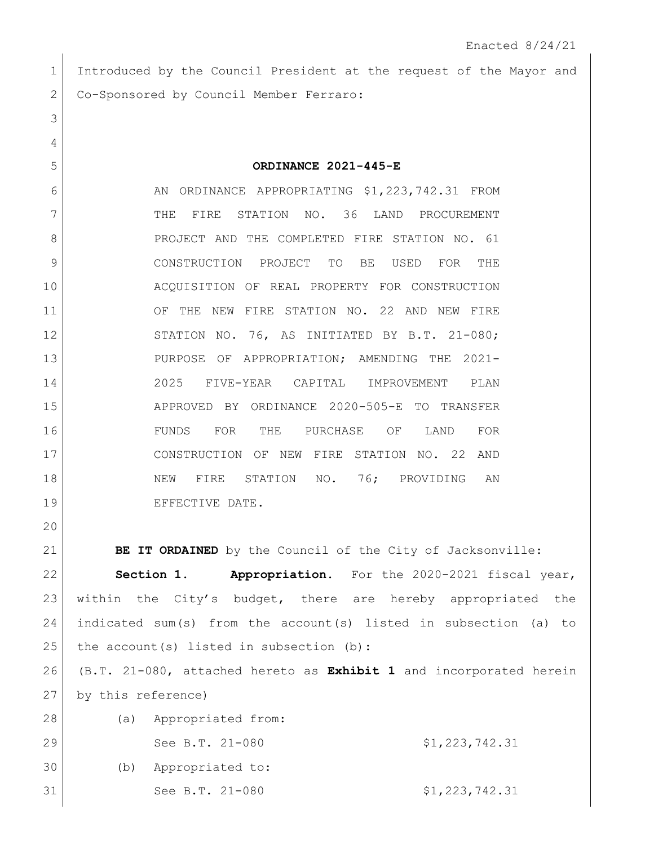1 Introduced by the Council President at the request of the Mayor and Co-Sponsored by Council Member Ferraro:

**ORDINANCE 2021-445-E**

6 AN ORDINANCE APPROPRIATING \$1,223,742.31 FROM 7 THE FIRE STATION NO. 36 LAND PROCUREMENT 8 PROJECT AND THE COMPLETED FIRE STATION NO. 61 CONSTRUCTION PROJECT TO BE USED FOR THE ACQUISITION OF REAL PROPERTY FOR CONSTRUCTION 11 OF THE NEW FIRE STATION NO. 22 AND NEW FIRE 12 STATION NO. 76, AS INITIATED BY B.T. 21-080; PURPOSE OF APPROPRIATION; AMENDING THE 2021- 2025 FIVE-YEAR CAPITAL IMPROVEMENT PLAN APPROVED BY ORDINANCE 2020-505-E TO TRANSFER FUNDS FOR THE PURCHASE OF LAND FOR CONSTRUCTION OF NEW FIRE STATION NO. 22 AND 18 NEW FIRE STATION NO. 76; PROVIDING AN 19 EFFECTIVE DATE.

**BE IT ORDAINED** by the Council of the City of Jacksonville:

 **Section 1. Appropriation.** For the 2020-2021 fiscal year, within the City's budget, there are hereby appropriated the indicated sum(s) from the account(s) listed in subsection (a) to 25 the account(s) listed in subsection (b):

 (B.T. 21-080, attached hereto as **Exhibit 1** and incorporated herein by this reference)

| 28 | (a) | Appropriated from: |                |
|----|-----|--------------------|----------------|
| 29 |     | See B.T. 21-080    | \$1,223,742.31 |
| 30 | (b) | Appropriated to:   |                |
| 31 |     | See B.T. 21-080    | \$1,223,742.31 |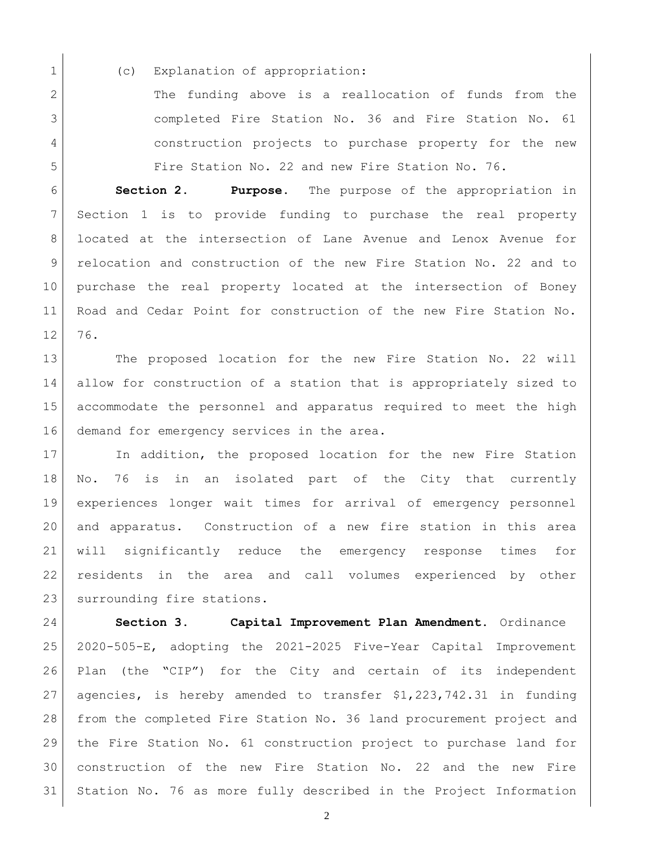1 (c) Explanation of appropriation:

2 The funding above is a reallocation of funds from the completed Fire Station No. 36 and Fire Station No. 61 construction projects to purchase property for the new Fire Station No. 22 and new Fire Station No. 76.

 **Section 2. Purpose.** The purpose of the appropriation in Section 1 is to provide funding to purchase the real property located at the intersection of Lane Avenue and Lenox Avenue for relocation and construction of the new Fire Station No. 22 and to purchase the real property located at the intersection of Boney Road and Cedar Point for construction of the new Fire Station No. 76.

13 The proposed location for the new Fire Station No. 22 will allow for construction of a station that is appropriately sized to accommodate the personnel and apparatus required to meet the high 16 demand for emergency services in the area.

17 In addition, the proposed location for the new Fire Station No. 76 is in an isolated part of the City that currently experiences longer wait times for arrival of emergency personnel and apparatus. Construction of a new fire station in this area will significantly reduce the emergency response times for residents in the area and call volumes experienced by other 23 surrounding fire stations.

 **Section 3. Capital Improvement Plan Amendment.** Ordinance 2020-505-E, adopting the 2021-2025 Five-Year Capital Improvement Plan (the "CIP") for the City and certain of its independent agencies, is hereby amended to transfer \$1,223,742.31 in funding from the completed Fire Station No. 36 land procurement project and the Fire Station No. 61 construction project to purchase land for construction of the new Fire Station No. 22 and the new Fire Station No. 76 as more fully described in the Project Information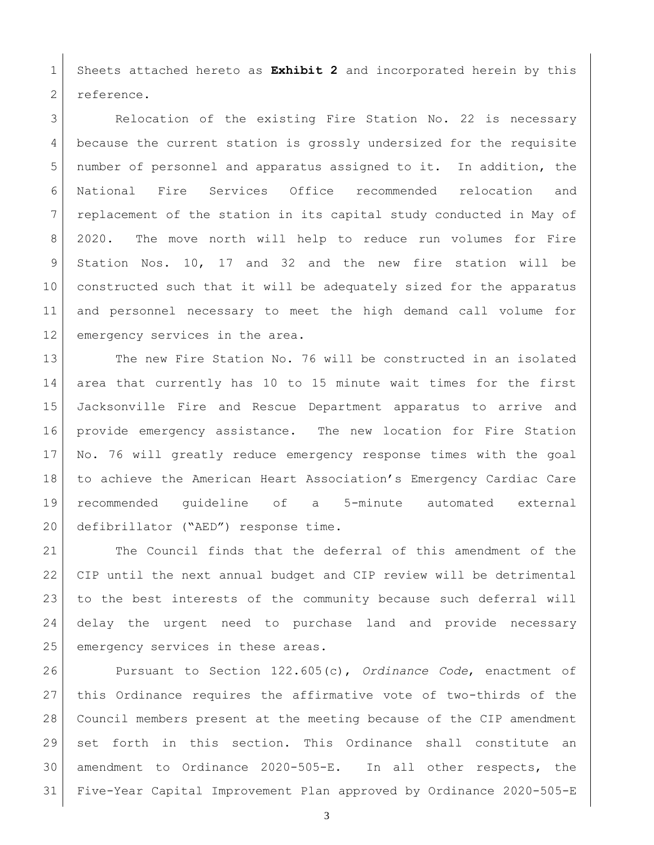Sheets attached hereto as **Exhibit 2** and incorporated herein by this 2 reference.

3 Relocation of the existing Fire Station No. 22 is necessary because the current station is grossly undersized for the requisite number of personnel and apparatus assigned to it. In addition, the National Fire Services Office recommended relocation and replacement of the station in its capital study conducted in May of 8 2020. The move north will help to reduce run volumes for Fire Station Nos. 10, 17 and 32 and the new fire station will be constructed such that it will be adequately sized for the apparatus and personnel necessary to meet the high demand call volume for 12 emergency services in the area.

13 The new Fire Station No. 76 will be constructed in an isolated area that currently has 10 to 15 minute wait times for the first Jacksonville Fire and Rescue Department apparatus to arrive and provide emergency assistance. The new location for Fire Station No. 76 will greatly reduce emergency response times with the goal to achieve the American Heart Association's Emergency Cardiac Care recommended guideline of a 5-minute automated external defibrillator ("AED") response time.

 The Council finds that the deferral of this amendment of the CIP until the next annual budget and CIP review will be detrimental to the best interests of the community because such deferral will delay the urgent need to purchase land and provide necessary 25 emergency services in these areas.

 Pursuant to Section 122.605(c), *Ordinance Code*, enactment of this Ordinance requires the affirmative vote of two-thirds of the Council members present at the meeting because of the CIP amendment set forth in this section. This Ordinance shall constitute an amendment to Ordinance 2020-505-E. In all other respects, the Five-Year Capital Improvement Plan approved by Ordinance 2020-505-E